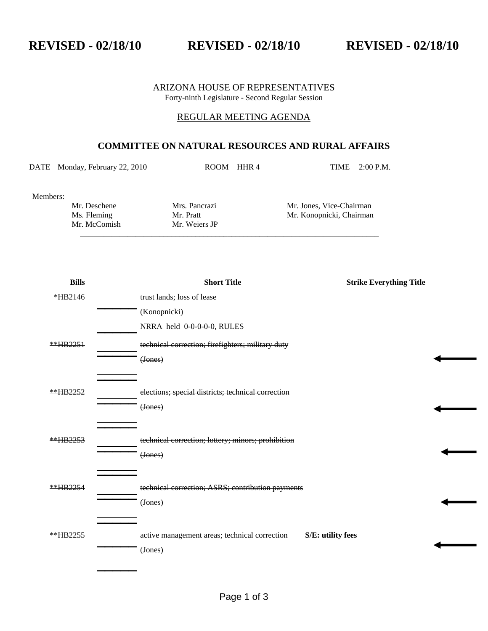**REVISED - 02/18/10 REVISED - 02/18/10 REVISED - 02/18/10** 

## ARIZONA HOUSE OF REPRESENTATIVES Forty-ninth Legislature - Second Regular Session

## REGULAR MEETING AGENDA

## **COMMITTEE ON NATURAL RESOURCES AND RURAL AFFAIRS**

DATE Monday, February 22, 2010 ROOM HHR 4 TIME 2:00 P.M.

Members:

Mr. McComish Mr. Weiers JP

 $\mathcal{L}_\text{max} = \frac{1}{2} \sum_{i=1}^{n} \frac{1}{2} \sum_{i=1}^{n} \frac{1}{2} \sum_{i=1}^{n} \frac{1}{2} \sum_{i=1}^{n} \frac{1}{2} \sum_{i=1}^{n} \frac{1}{2} \sum_{i=1}^{n} \frac{1}{2} \sum_{i=1}^{n} \frac{1}{2} \sum_{i=1}^{n} \frac{1}{2} \sum_{i=1}^{n} \frac{1}{2} \sum_{i=1}^{n} \frac{1}{2} \sum_{i=1}^{n} \frac{1}{2} \sum_{i=1}^{n} \frac{1$ 

 Mr. Deschene Mrs. Pancrazi Mr. Jones, Vice-Chairman Ms. Fleming Mr. Pratt Mr. Konopnicki, Chairman

| <b>Bills</b>    | <b>Short Title</b>                                                 | <b>Strike Everything Title</b> |
|-----------------|--------------------------------------------------------------------|--------------------------------|
| *HB2146         | trust lands; loss of lease                                         |                                |
|                 | (Konopnicki)                                                       |                                |
|                 | NRRA held 0-0-0-0-0, RULES                                         |                                |
| <u>**HB2251</u> | technical correction; firefighters; military duty                  |                                |
|                 | (Jones)                                                            |                                |
|                 |                                                                    |                                |
| **HB2252        | elections; special districts; technical correction                 |                                |
|                 | (Jones)                                                            |                                |
|                 |                                                                    |                                |
| **HB2253        | technical correction; lottery; minors; prohibition                 |                                |
|                 | (Jones)                                                            |                                |
|                 |                                                                    |                                |
| <u>**HB2254</u> | technical correction; ASRS; contribution payments                  |                                |
|                 | (Jones)                                                            |                                |
|                 |                                                                    |                                |
| **HB2255        | S/E: utility fees<br>active management areas; technical correction |                                |
|                 | (Jones)                                                            |                                |
|                 |                                                                    |                                |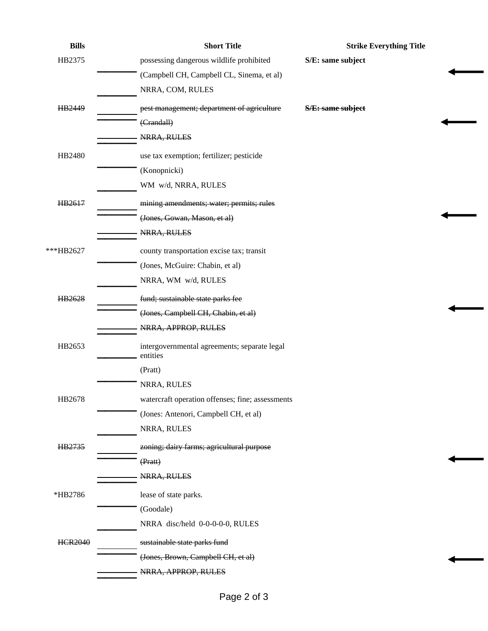| <b>Bills</b>   | <b>Short Title</b>                                       | <b>Strike Everything Title</b> |
|----------------|----------------------------------------------------------|--------------------------------|
| HB2375         | possessing dangerous wildlife prohibited                 | S/E: same subject              |
|                | (Campbell CH, Campbell CL, Sinema, et al)                |                                |
|                | NRRA, COM, RULES                                         |                                |
| HB2449         | pest management; department of agriculture               | S/E: same subject              |
|                | (Crandall)                                               |                                |
|                | NRRA, RULES                                              |                                |
| HB2480         | use tax exemption; fertilizer; pesticide                 |                                |
|                | (Konopnicki)                                             |                                |
|                | WM w/d, NRRA, RULES                                      |                                |
| HB2617         | mining amendments; water; permits; rules                 |                                |
|                | (Jones, Gowan, Mason, et al)                             |                                |
|                | NRRA, RULES                                              |                                |
| ***HB2627      | county transportation excise tax; transit                |                                |
|                | (Jones, McGuire: Chabin, et al)                          |                                |
|                | NRRA, WM w/d, RULES                                      |                                |
| HB2628         | fund; sustainable state parks fee                        |                                |
|                | (Jones, Campbell CH, Chabin, et al)                      |                                |
|                | NRRA, APPROP, RULES                                      |                                |
| HB2653         | intergovernmental agreements; separate legal<br>entities |                                |
|                | (Pratt)                                                  |                                |
|                | NRRA, RULES                                              |                                |
| HB2678         | watercraft operation offenses; fine; assessments         |                                |
|                | (Jones: Antenori, Campbell CH, et al)                    |                                |
|                | NRRA, RULES                                              |                                |
| HB2735         | zoning; dairy farms; agricultural purpose                |                                |
|                | (Pratt)                                                  |                                |
|                | NRRA, RULES                                              |                                |
| *HB2786        | lease of state parks.                                    |                                |
|                | (Goodale)                                                |                                |
|                | NRRA disc/held 0-0-0-0-0, RULES                          |                                |
| <b>HCR2040</b> | sustainable state parks fund                             |                                |
|                | (Jones, Brown, Campbell CH, et al)                       |                                |
|                | NRRA, APPROP, RULES                                      |                                |